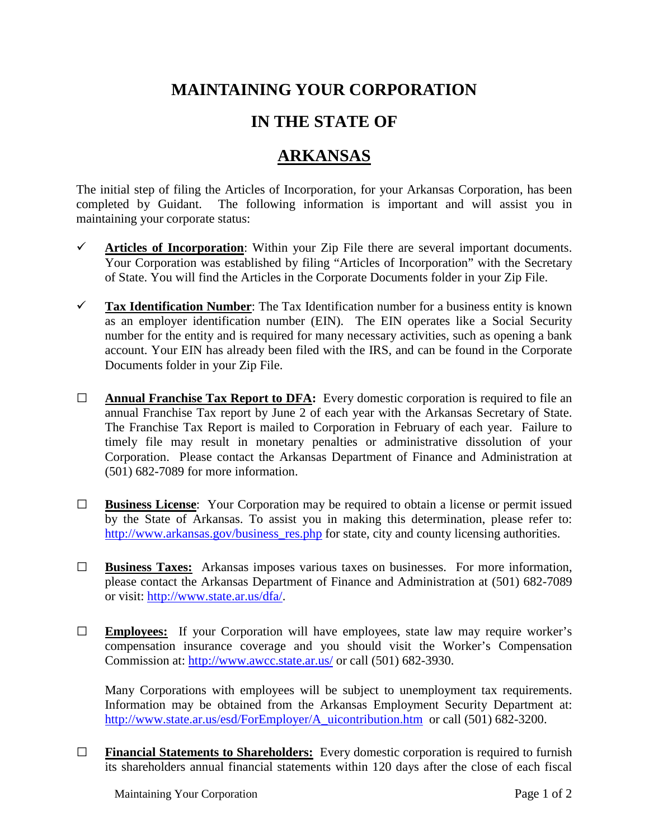## **MAINTAINING YOUR CORPORATION**

## **IN THE STATE OF**

## **ARKANSAS**

The initial step of filing the Articles of Incorporation, for your Arkansas Corporation, has been completed by Guidant. The following information is important and will assist you in maintaining your corporate status:

- $\checkmark$  Articles of Incorporation: Within your Zip File there are several important documents. Your Corporation was established by filing "Articles of Incorporation" with the Secretary of State. You will find the Articles in the Corporate Documents folder in your Zip File.
- **Tax Identification Number**: The Tax Identification number for a business entity is known as an employer identification number (EIN). The EIN operates like a Social Security number for the entity and is required for many necessary activities, such as opening a bank account. Your EIN has already been filed with the IRS, and can be found in the Corporate Documents folder in your Zip File.
- **□ Annual Franchise Tax Report to DFA:** Every domestic corporation is required to file an annual Franchise Tax report by June 2 of each year with the Arkansas Secretary of State. The Franchise Tax Report is mailed to Corporation in February of each year. Failure to timely file may result in monetary penalties or administrative dissolution of your Corporation. Please contact the Arkansas Department of Finance and Administration at (501) 682-7089 for more information.
- **□ Business License**: Your Corporation may be required to obtain a license or permit issued by the State of Arkansas. To assist you in making this determination, please refer to: [http://www.arkansas.gov/business\\_res.php](http://www.arkansas.gov/business_res.php) for state, city and county licensing authorities.
- **□ Business Taxes:** Arkansas imposes various taxes on businesses. For more information, please contact the Arkansas Department of Finance and Administration at (501) 682-7089 or visit: [http://www.state.ar.us/dfa/.](http://www.state.ar.us/dfa/)
- **□ Employees:** If your Corporation will have employees, state law may require worker's compensation insurance coverage and you should visit the Worker's Compensation Commission at:<http://www.awcc.state.ar.us/> or call (501) 682-3930.

Many Corporations with employees will be subject to unemployment tax requirements. Information may be obtained from the Arkansas Employment Security Department at: [http://www.state.ar.us/esd/ForEmployer/A\\_uicontribution.htm](http://www.state.ar.us/esd/ForEmployer/A_uicontribution.htm) or call (501) 682-3200.

**□ Financial Statements to Shareholders:** Every domestic corporation is required to furnish its shareholders annual financial statements within 120 days after the close of each fiscal